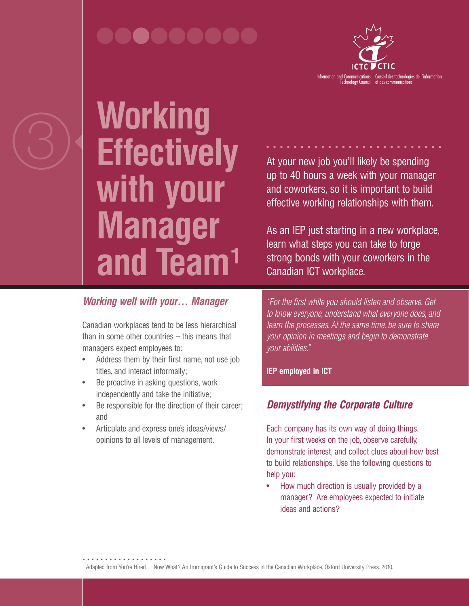# 000000000



3 **Working Effectively with your Manager and Team1**

At your new job you'll likely be spending up to 40 hours a week with your manager and coworkers, so it is important to build effective working relationships with them.

As an IEP just starting in a new workplace, learn what steps you can take to forge strong bonds with your coworkers in the Canadian ICT workplace.

### *Working well with your… Manager*

Canadian workplaces tend to be less hierarchical than in some other countries – this means that managers expect employees to:

- Address them by their first name, not use job titles, and interact informally;
- Be proactive in asking questions, work independently and take the initiative;
- Be responsible for the direction of their career; and
- Articulate and express one's ideas/views/ opinions to all levels of management.

*"For the first while you should listen and observe. Get to know everyone, understand what everyone does, and learn the processes. At the same time, be sure to share your opinion in meetings and begin to demonstrate your abilities."*

**IEP employed in ICT** 

## *Demystifying the Corporate Culture*

Each company has its own way of doing things. In your first weeks on the job, observe carefully, demonstrate interest, and collect clues about how best to build relationships. Use the following questions to help you:

• How much direction is usually provided by a manager? Are employees expected to initiate ideas and actions?

<sup>1</sup> Adapted from You're Hired… Now What? An Immigrant's Guide to Success in the Canadian Workplace. Oxford University Press. 2010.